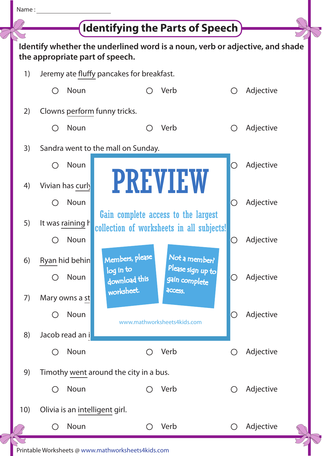

## **Identifying the Parts of Speech**

 $\mathbb{Z}$ 

|                                                                                                                 |                                               |                                    | <b>Identifying the Parts of Speech</b>                                           |                                    |            |           |  |  |
|-----------------------------------------------------------------------------------------------------------------|-----------------------------------------------|------------------------------------|----------------------------------------------------------------------------------|------------------------------------|------------|-----------|--|--|
| Identify whether the underlined word is a noun, verb or adjective, and shade<br>the appropriate part of speech. |                                               |                                    |                                                                                  |                                    |            |           |  |  |
| 1)                                                                                                              | Jeremy ate fluffy pancakes for breakfast.     |                                    |                                                                                  |                                    |            |           |  |  |
|                                                                                                                 | ( )                                           | Noun                               |                                                                                  | Verb                               |            | Adjective |  |  |
| 2)                                                                                                              |                                               | Clowns perform funny tricks.       |                                                                                  |                                    |            |           |  |  |
|                                                                                                                 | ( )                                           | <b>Noun</b>                        |                                                                                  | Verb                               |            | Adjective |  |  |
| 3)                                                                                                              |                                               | Sandra went to the mall on Sunday. |                                                                                  |                                    |            |           |  |  |
|                                                                                                                 |                                               | Noun                               |                                                                                  |                                    | $\cup$     | Adjective |  |  |
| 4)                                                                                                              |                                               | Vivian has curly                   |                                                                                  | <b>PREVIEW</b>                     |            |           |  |  |
|                                                                                                                 |                                               | Noun                               |                                                                                  |                                    | O          | Adjective |  |  |
| 5)                                                                                                              |                                               | It was raining h                   | Gain complete access to the largest<br>collection of worksheets in all subjects! |                                    |            |           |  |  |
|                                                                                                                 |                                               | Noun                               |                                                                                  |                                    | O          | Adjective |  |  |
| 6)                                                                                                              |                                               | Ryan hid behin                     | Members, please                                                                  | Not a member?                      |            |           |  |  |
|                                                                                                                 | ( )                                           | Noun                               | log in to<br>download this                                                       | Please sign up to<br>gain complete | O          | Adjective |  |  |
| 7)                                                                                                              |                                               | Mary owns a st                     | worksheet.                                                                       | access.                            |            |           |  |  |
|                                                                                                                 | $( \ )$                                       | Noun                               |                                                                                  | www.mathworksheets4kids.com        | O          | Adjective |  |  |
| 8)                                                                                                              |                                               | Jacob read an i                    |                                                                                  |                                    |            |           |  |  |
|                                                                                                                 | $\bigcirc$                                    | Noun                               |                                                                                  | Verb                               | $\bigcirc$ | Adjective |  |  |
| 9)                                                                                                              | Timothy went around the city in a bus.        |                                    |                                                                                  |                                    |            |           |  |  |
|                                                                                                                 | $\left(\begin{array}{c} 1 \end{array}\right)$ | Noun                               | ( )                                                                              | Verb                               | $\bigcirc$ | Adjective |  |  |
| 10)                                                                                                             | Olivia is an intelligent girl.                |                                    |                                                                                  |                                    |            |           |  |  |
|                                                                                                                 | $($ )                                         | Noun                               |                                                                                  | Verb                               | $\bigcirc$ | Adjective |  |  |
|                                                                                                                 |                                               |                                    |                                                                                  |                                    |            |           |  |  |